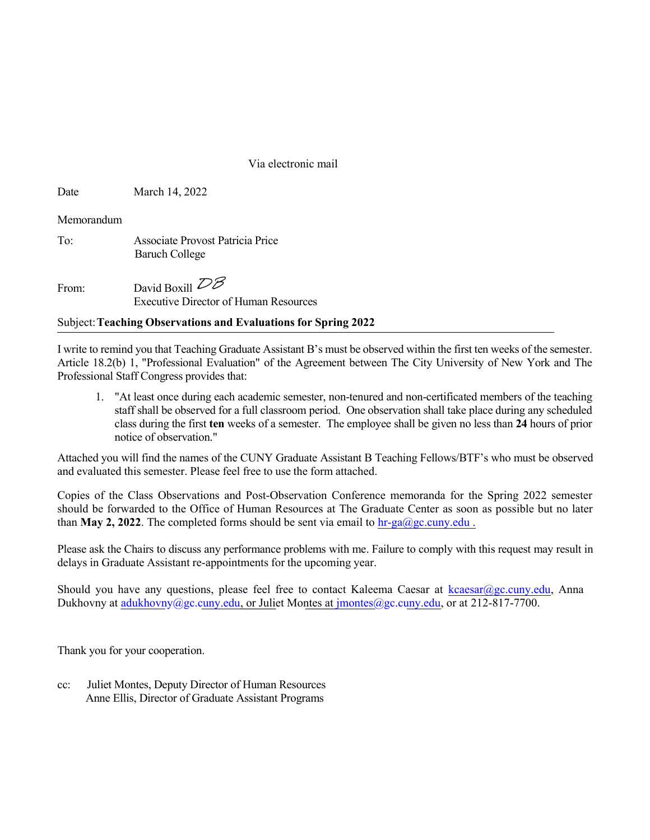Via electronic mail

Date March 14, 2022

Memorandum

To: Associate Provost Patricia Price Baruch College

From: David Boxill  $\overline{\mathcal{DB}}$ Executive Director of Human Resources

## Subject: Teaching Observations and Evaluations for Spring 202**2**

I write to remind you that Teaching Graduate Assistant B's must be observed within the first ten weeks of the semester. Article 18.2(b) 1, "Professional Evaluation" of the Agreement between The City University of New York and The Professional Staff Congress provides that:

1. "At least once during each academic semester, non-tenured and non-certificated members of the teaching staff shall be observed for a full classroom period. One observation shall take place during any scheduled class during the first ten weeks of a semester. The employee shall be given no less than 24 hours of prior notice of observation."

Attached you will find the names of the CUNY Graduate Assistant B Teaching Fellows/BTF's who must be observed and evaluated this semester. Please feel free to use the form attached.

Copies of the Class Observations and Post-Observation Conference memoranda for the Spring 2022 semester should be forwarded to the Office of Human Resources at The Graduate Center as soon as possible but no later than **May 2, 2022**. The completed forms should be sent via email to  $hr-ga/Qgc.cuny.edu$ .

Please ask the Chairs to discuss any performance problems with me. Failure to comply with this request may result in delays in Graduate Assistant re-appointments for the upcoming year.

Should you have any questions, please feel free to contact Kaleema Caesar at kcaesar@gc.cuny.edu, Anna Dukhovny at adukhovny@gc.cuny.edu, or Juliet Montes at jmontes@gc.cuny.edu, or at 212-817-7700.

Thank you for your cooperation.

cc: Juliet Montes, Deputy Director of Human Resources Anne Ellis, Director of Graduate Assistant Programs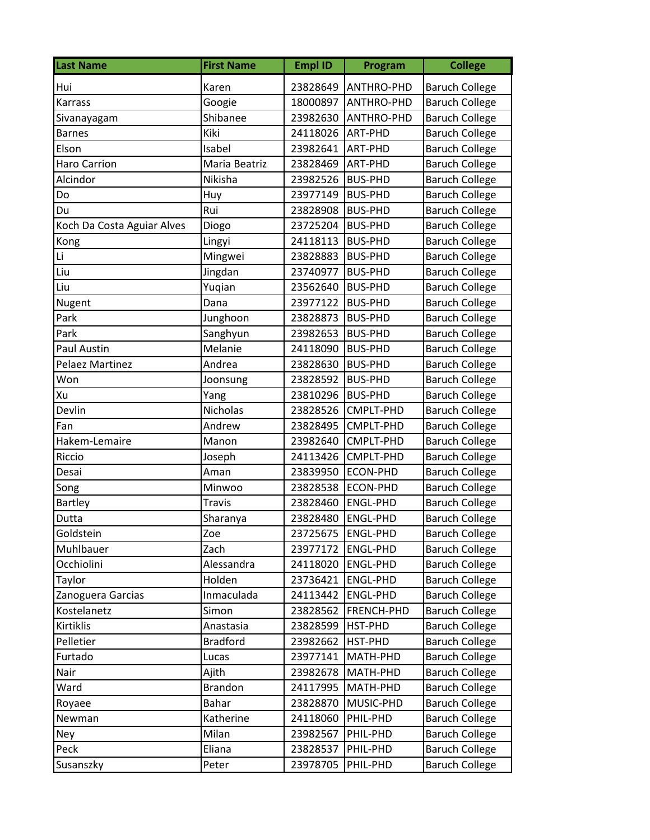| <b>Last Name</b>           | <b>First Name</b> | <b>Empl ID</b> | Program           | <b>College</b>        |
|----------------------------|-------------------|----------------|-------------------|-----------------------|
| Hui                        | Karen             | 23828649       | <b>ANTHRO-PHD</b> | <b>Baruch College</b> |
| Karrass                    | Googie            | 18000897       | ANTHRO-PHD        | <b>Baruch College</b> |
| Sivanayagam                | Shibanee          | 23982630       | <b>ANTHRO-PHD</b> | <b>Baruch College</b> |
| Barnes                     | Kiki              | 24118026       | ART-PHD           | <b>Baruch College</b> |
| Elson                      | Isabel            | 23982641       | ART-PHD           | <b>Baruch College</b> |
| Haro Carrion               | Maria Beatriz     | 23828469       | <b>ART-PHD</b>    | <b>Baruch College</b> |
| Alcindor                   | Nikisha           | 23982526       | <b>BUS-PHD</b>    | <b>Baruch College</b> |
| Do                         | Huy               | 23977149       | <b>BUS-PHD</b>    | <b>Baruch College</b> |
| Du                         | Rui               | 23828908       | <b>BUS-PHD</b>    | <b>Baruch College</b> |
| Koch Da Costa Aguiar Alves | Diogo             | 23725204       | <b>BUS-PHD</b>    | <b>Baruch College</b> |
| Kong                       | Lingyi            | 24118113       | <b>BUS-PHD</b>    | <b>Baruch College</b> |
| Li                         | Mingwei           | 23828883       | <b>BUS-PHD</b>    | <b>Baruch College</b> |
| Liu                        | Jingdan           | 23740977       | <b>BUS-PHD</b>    | <b>Baruch College</b> |
| Liu                        | Yuqian            | 23562640       | <b>BUS-PHD</b>    | <b>Baruch College</b> |
| Nugent                     | Dana              | 23977122       | <b>BUS-PHD</b>    | <b>Baruch College</b> |
| Park                       | Junghoon          | 23828873       | <b>BUS-PHD</b>    | <b>Baruch College</b> |
| Park                       | Sanghyun          | 23982653       | <b>BUS-PHD</b>    | <b>Baruch College</b> |
| Paul Austin                | Melanie           | 24118090       | <b>BUS-PHD</b>    | <b>Baruch College</b> |
| Pelaez Martinez            | Andrea            | 23828630       | <b>BUS-PHD</b>    | <b>Baruch College</b> |
| Won                        | Joonsung          | 23828592       | <b>BUS-PHD</b>    | <b>Baruch College</b> |
| Xu                         | Yang              | 23810296       | <b>BUS-PHD</b>    | <b>Baruch College</b> |
| Devlin                     | <b>Nicholas</b>   | 23828526       | CMPLT-PHD         | <b>Baruch College</b> |
| Fan                        | Andrew            | 23828495       | CMPLT-PHD         | <b>Baruch College</b> |
| Hakem-Lemaire              | Manon             | 23982640       | CMPLT-PHD         | <b>Baruch College</b> |
| Riccio                     | Joseph            | 24113426       | CMPLT-PHD         | <b>Baruch College</b> |
| Desai                      | Aman              | 23839950       | <b>ECON-PHD</b>   | <b>Baruch College</b> |
| Song                       | Minwoo            | 23828538       | ECON-PHD          | <b>Baruch College</b> |
| <b>Bartley</b>             | <b>Travis</b>     | 23828460       | <b>ENGL-PHD</b>   | <b>Baruch College</b> |
| Dutta                      | Sharanya          | 23828480       | <b>ENGL-PHD</b>   | <b>Baruch College</b> |
| Goldstein                  | Zoe               | 23725675       | <b>ENGL-PHD</b>   | <b>Baruch College</b> |
| Muhlbauer                  | Zach              | 23977172       | <b>ENGL-PHD</b>   | <b>Baruch College</b> |
| Occhiolini                 | Alessandra        | 24118020       | <b>ENGL-PHD</b>   | <b>Baruch College</b> |
| Taylor                     | Holden            | 23736421       | <b>ENGL-PHD</b>   | <b>Baruch College</b> |
| Zanoguera Garcias          | Inmaculada        | 24113442       | <b>ENGL-PHD</b>   | <b>Baruch College</b> |
| Kostelanetz                | Simon             | 23828562       | FRENCH-PHD        | <b>Baruch College</b> |
| Kirtiklis                  | Anastasia         | 23828599       | HST-PHD           | <b>Baruch College</b> |
| Pelletier                  | <b>Bradford</b>   | 23982662       | HST-PHD           | <b>Baruch College</b> |
| Furtado                    | Lucas             | 23977141       | MATH-PHD          | <b>Baruch College</b> |
| Nair                       | Ajith             | 23982678       | MATH-PHD          | <b>Baruch College</b> |
| Ward                       | <b>Brandon</b>    | 24117995       | MATH-PHD          | <b>Baruch College</b> |
| Royaee                     | <b>Bahar</b>      | 23828870       | MUSIC-PHD         | <b>Baruch College</b> |
| Newman                     | Katherine         | 24118060       | PHIL-PHD          | <b>Baruch College</b> |
| Ney                        | Milan             | 23982567       | PHIL-PHD          | <b>Baruch College</b> |
| Peck                       | Eliana            | 23828537       | PHIL-PHD          | <b>Baruch College</b> |
| Susanszky                  | Peter             | 23978705       | PHIL-PHD          | <b>Baruch College</b> |